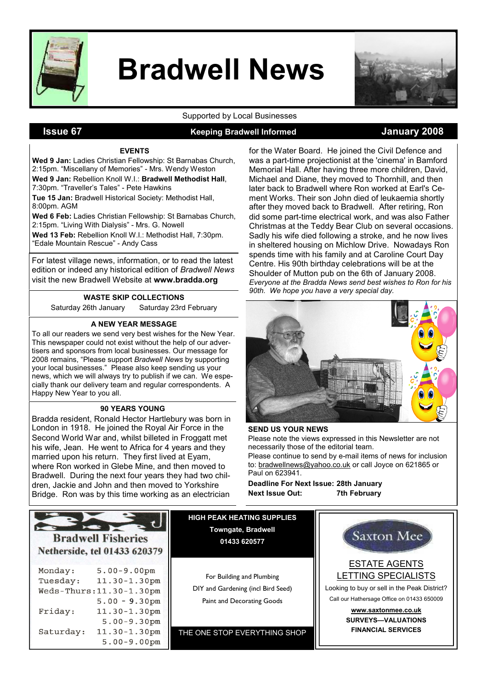

# Bradwell News



Supported by Local Businesses

# **Issue 67** Meeping Bradwell Informed Manuary 2008

#### EVENTS

Wed 9 Jan: Ladies Christian Fellowship: St Barnabas Church, 2:15pm. "Miscellany of Memories" - Mrs. Wendy Weston Wed 9 Jan: Rebellion Knoll W.I.: Bradwell Methodist Hall, 7:30pm. "Traveller's Tales" - Pete Hawkins

Tue 15 Jan: Bradwell Historical Society: Methodist Hall, 8:00pm. AGM

Wed 6 Feb: Ladies Christian Fellowship: St Barnabas Church, 2:15pm. "Living With Dialysis" - Mrs. G. Nowell

Wed 13 Feb: Rebellion Knoll W.I.: Methodist Hall, 7:30pm. "Edale Mountain Rescue" - Andy Cass

For latest village news, information, or to read the latest edition or indeed any historical edition of Bradwell News visit the new Bradwell Website at www.bradda.org

#### WASTE SKIP COLLECTIONS

Saturday 26th January Saturday 23rd February

#### A NEW YEAR MESSAGE

To all our readers we send very best wishes for the New Year. This newspaper could not exist without the help of our advertisers and sponsors from local businesses. Our message for 2008 remains, "Please support Bradwell News by supporting your local businesses." Please also keep sending us your news, which we will always try to publish if we can. We especially thank our delivery team and regular correspondents. A Happy New Year to you all.

#### 90 YEARS YOUNG

Bradda resident, Ronald Hector Hartlebury was born in London in 1918. He joined the Royal Air Force in the Second World War and, whilst billeted in Froggatt met his wife, Jean. He went to Africa for 4 years and they married upon his return. They first lived at Eyam, where Ron worked in Glebe Mine, and then moved to Bradwell. During the next four years they had two children, Jackie and John and then moved to Yorkshire Bridge. Ron was by this time working as an electrician

for the Water Board. He joined the Civil Defence and was a part-time projectionist at the 'cinema' in Bamford Memorial Hall. After having three more children, David, Michael and Diane, they moved to Thornhill, and then later back to Bradwell where Ron worked at Earl's Cement Works. Their son John died of leukaemia shortly after they moved back to Bradwell. After retiring, Ron did some part-time electrical work, and was also Father Christmas at the Teddy Bear Club on several occasions. Sadly his wife died following a stroke, and he now lives in sheltered housing on Michlow Drive. Nowadays Ron spends time with his family and at Caroline Court Day Centre. His 90th birthday celebrations will be at the Shoulder of Mutton pub on the 6th of January 2008. Everyone at the Bradda News send best wishes to Ron for his 90th. We hope you have a very special day.



#### SEND US YOUR NEWS

Please note the views expressed in this Newsletter are not necessarily those of the editorial team.

Please continue to send by e-mail items of news for inclusion to: bradwellnews@yahoo.co.uk or call Joyce on 621865 or Paul on 623941.

Deadline For Next Issue: 28th January Next Issue Out: 7th February

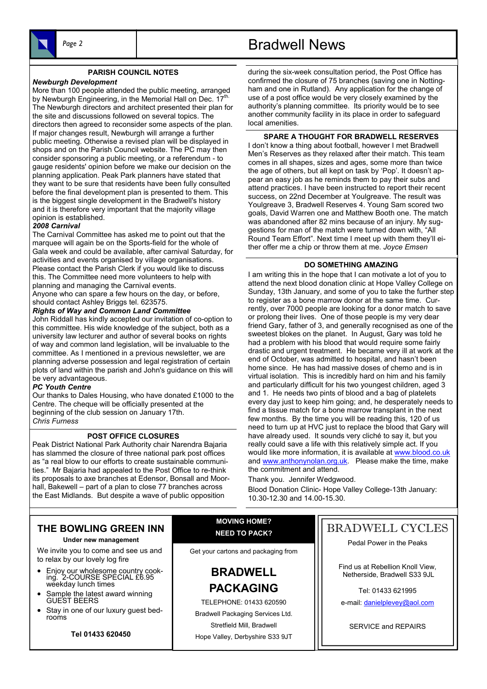

#### PARISH COUNCIL NOTES

#### Newburgh Development

More than 100 people attended the public meeting, arranged by Newburgh Engineering, in the Memorial Hall on Dec. 17<sup>th.</sup> The Newburgh directors and architect presented their plan for the site and discussions followed on several topics. The directors then agreed to reconsider some aspects of the plan. If major changes result, Newburgh will arrange a further public meeting. Otherwise a revised plan will be displayed in shops and on the Parish Council website. The PC may then consider sponsoring a public meeting, or a referendum - to gauge residents' opinion before we make our decision on the planning application. Peak Park planners have stated that they want to be sure that residents have been fully consulted before the final development plan is presented to them. This is the biggest single development in the Bradwell's history and it is therefore very important that the majority village opinion is established.

#### 2008 Carnival

The Carnival Committee has asked me to point out that the marquee will again be on the Sports-field for the whole of Gala week and could be available, after carnival Saturday, for activities and events organised by village organisations. Please contact the Parish Clerk if you would like to discuss this. The Committee need more volunteers to help with planning and managing the Carnival events. Anyone who can spare a few hours on the day, or before,

should contact Ashley Briggs tel. 623575.

#### Rights of Way and Common Land Committee

John Riddall has kindly accepted our invitation of co-option to this committee. His wide knowledge of the subject, both as a university law lecturer and author of several books on rights of way and common land legislation, will be invaluable to the committee. As I mentioned in a previous newsletter, we are planning adverse possession and legal registration of certain plots of land within the parish and John's guidance on this will be very advantageous.

#### PC Youth Centre

Our thanks to Dales Housing, who have donated £1000 to the Centre. The cheque will be officially presented at the beginning of the club session on January 17th. Chris Furness

#### POST OFFICE CLOSURES

Peak District National Park Authority chair Narendra Bajaria has slammed the closure of three national park post offices as "a real blow to our efforts to create sustainable communities." Mr Bajaria had appealed to the Post Office to re-think its proposals to axe branches at Edensor, Bonsall and Moorhall, Bakewell – part of a plan to close 77 branches across the East Midlands. But despite a wave of public opposition

# Page 2 and 1 and 1 Bradwell News

during the six-week consultation period, the Post Office has confirmed the closure of 75 branches (saving one in Nottingham and one in Rutland). Any application for the change of use of a post office would be very closely examined by the authority's planning committee. Its priority would be to see another community facility in its place in order to safeguard local amenities.

#### SPARE A THOUGHT FOR BRADWELL RESERVES

I don't know a thing about football, however I met Bradwell Men's Reserves as they relaxed after their match. This team comes in all shapes, sizes and ages, some more than twice the age of others, but all kept on task by 'Pop'. It doesn't appear an easy job as he reminds them to pay their subs and attend practices. I have been instructed to report their recent success, on 22nd December at Youlgreave. The result was Youlgreave 3, Bradwell Reserves 4. Young Sam scored two goals, David Warren one and Matthew Booth one. The match was abandoned after 82 mins because of an injury. My suggestions for man of the match were turned down with, "All Round Team Effort". Next time I meet up with them they'll either offer me a chip or throw them at me. Joyce Emsen

#### DO SOMETHING AMAZING

I am writing this in the hope that I can motivate a lot of you to attend the next blood donation clinic at Hope Valley College on Sunday, 13th January, and some of you to take the further step to register as a bone marrow donor at the same time. Currently, over 7000 people are looking for a donor match to save or prolong their lives. One of those people is my very dear friend Gary, father of 3, and generally recognised as one of the sweetest blokes on the planet. In August, Gary was told he had a problem with his blood that would require some fairly drastic and urgent treatment. He became very ill at work at the end of October, was admitted to hospital, and hasn't been home since. He has had massive doses of chemo and is in virtual isolation. This is incredibly hard on him and his family and particularly difficult for his two youngest children, aged 3 and 1. He needs two pints of blood and a bag of platelets every day just to keep him going; and, he desperately needs to find a tissue match for a bone marrow transplant in the next few months. By the time you will be reading this, 120 of us need to turn up at HVC just to replace the blood that Gary will have already used. It sounds very cliché to say it, but you really could save a life with this relatively simple act. If you would like more information, it is available at www.blood.co.uk and www.anthonynolan.org.uk. Please make the time, make the commitment and attend.

Thank you. Jennifer Wedgwood. Blood Donation Clinic- Hope Valley College-13th January: 10.30-12.30 and 14.00-15.30.

### THE BOWLING GREEN INN

#### Under new management

We invite you to come and see us and to relax by our lovely log fire

- Enjoy our wholesome country cooking. 2-COURSE SPECIAL £6.95 weekday lunch times
- Sample the latest award winning GUEST BEERS
- Stay in one of our luxury guest bedrooms

Tel 01433 620450

MOVING HOME? NEED TO PACK?

Get your cartons and packaging from

BRADWELL PACKAGING

TELEPHONE: 01433 620590 Bradwell Packaging Services Ltd. Stretfield Mill, Bradwell Hope Valley, Derbyshire S33 9JT

# BRADWELL CYCLES

Pedal Power in the Peaks

Find us at Rebellion Knoll View, Netherside, Bradwell S33 9JL

Tel: 01433 621995

e-mail: danielplevey@aol.com

SERVICE and REPAIRS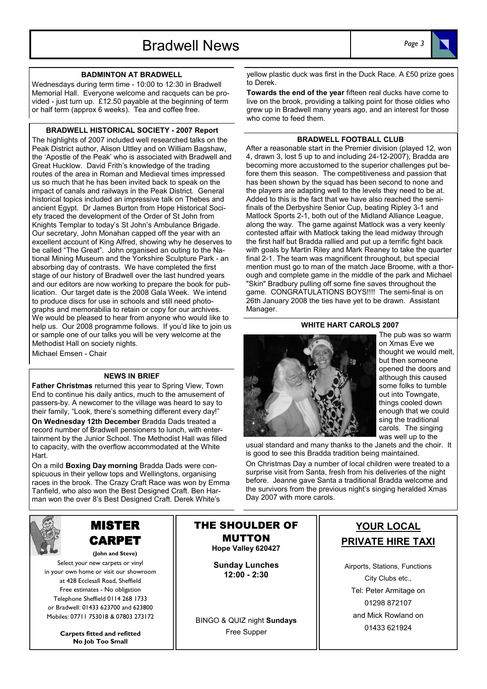



#### BADMINTON AT BRADWELL

Wednesdays during term time - 10:00 to 12:30 in Bradwell Memorial Hall. Everyone welcome and racquets can be provided - just turn up. £12.50 payable at the beginning of term or half term (approx 6 weeks). Tea and coffee free.

#### BRADWELL HISTORICAL SOCIETY - 2007 Report

The highlights of 2007 included well researched talks on the Peak District author, Alison Uttley and on William Bagshaw, the 'Apostle of the Peak' who is associated with Bradwell and Great Hucklow. David Frith's knowledge of the trading routes of the area in Roman and Medieval times impressed us so much that he has been invited back to speak on the impact of canals and railways in the Peak District. General historical topics included an impressive talk on Thebes and ancient Egypt. Dr James Burton from Hope Historical Society traced the development of the Order of St John from Knights Templar to today's St John's Ambulance Brigade. Our secretary, John Monahan capped off the year with an excellent account of King Alfred, showing why he deserves to be called "The Great". John organised an outing to the National Mining Museum and the Yorkshire Sculpture Park - an absorbing day of contrasts. We have completed the first stage of our history of Bradwell over the last hundred years and our editors are now working to prepare the book for publication. Our target date is the 2008 Gala Week. We intend to produce discs for use in schools and still need photographs and memorabilia to retain or copy for our archives. We would be pleased to hear from anyone who would like to help us. Our 2008 programme follows. If you'd like to join us or sample one of our talks you will be very welcome at the Methodist Hall on society nights. Michael Emsen - Chair

#### NEWS IN BRIEF

Father Christmas returned this year to Spring View, Town End to continue his daily antics, much to the amusement of passers-by. A newcomer to the village was heard to say to their family, "Look, there's something different every day!" On Wednesday 12th December Bradda Dads treated a record number of Bradwell pensioners to lunch, with entertainment by the Junior School. The Methodist Hall was filled to capacity, with the overflow accommodated at the White Hart.

On a mild **Boxing Day morning** Bradda Dads were conspicuous in their yellow tops and Wellingtons, organising races in the brook. The Crazy Craft Race was won by Emma Tanfield, who also won the Best Designed Craft. Ben Harman won the over 8's Best Designed Craft. Derek White's



# MISTER CARPET

(John and Steve) Select your new carpets or vinyl in your own home or visit our showroom at 428 Ecclesall Road, Sheffield Free estimates - No obligation Telephone Sheffield 0114 268 1733 or Bradwell: 01433 623700 and 623800 Mobiles: 07711 753018 & 07803 273172

> Carpets fitted and refitted No Job Too Small

yellow plastic duck was first in the Duck Race. A £50 prize goes to Derek.

Towards the end of the year fifteen real ducks have come to live on the brook, providing a talking point for those oldies who grew up in Bradwell many years ago, and an interest for those who come to feed them.

#### BRADWELL FOOTBALL CLUB

After a reasonable start in the Premier division (played 12, won 4, drawn 3, lost 5 up to and including 24-12-2007), Bradda are becoming more accustomed to the superior challenges put before them this season. The competitiveness and passion that has been shown by the squad has been second to none and the players are adapting well to the levels they need to be at. Added to this is the fact that we have also reached the semifinals of the Derbyshire Senior Cup, beating Ripley 3-1 and Matlock Sports 2-1, both out of the Midland Alliance League, along the way. The game against Matlock was a very keenly contested affair with Matlock taking the lead midway through the first half but Bradda rallied and put up a terrific fight back with goals by Martin Riley and Mark Reaney to take the quarter final 2-1. The team was magnificent throughout, but special mention must go to man of the match Jace Broome, with a thorough and complete game in the middle of the park and Michael "Skin" Bradbury pulling off some fine saves throughout the game. CONGRATULATIONS BOYS!!!! The semi-final is on 26th January 2008 the ties have yet to be drawn. Assistant Manager.

#### WHITE HART CAROLS 2007



The pub was so warm on Xmas Eve we thought we would melt, but then someone opened the doors and although this caused some folks to tumble out into Towngate, things cooled down enough that we could sing the traditional carols. The singing was well up to the

usual standard and many thanks to the Janets and the choir. It is good to see this Bradda tradition being maintained.

On Christmas Day a number of local children were treated to a surprise visit from Santa, fresh from his deliveries of the night before. Jeanne gave Santa a traditional Bradda welcome and the survivors from the previous night's singing heralded Xmas Day 2007 with more carols.

#### THE SHOULDER OF MUTTON Hope Valley 620427

Sunday Lunches 12:00 - 2:30

BINGO & QUIZ night Sundays Free Supper

# YOUR LOCAL PRIVATE HIRE TAXI

Airports, Stations, Functions City Clubs etc., Tel: Peter Armitage on 01298 872107 and Mick Rowland on 01433 621924